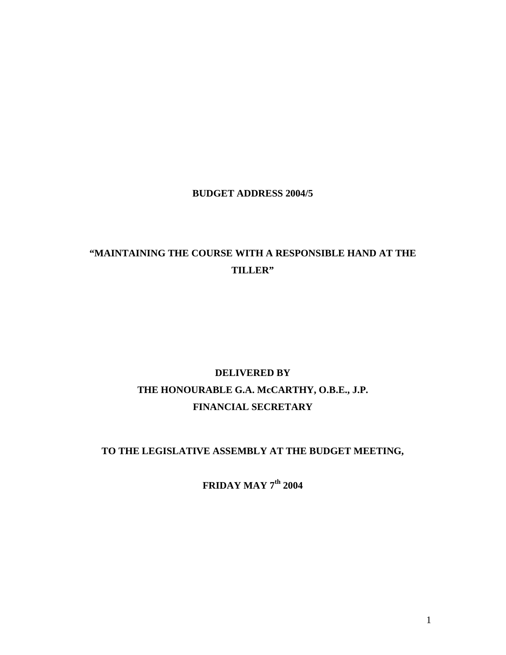## **BUDGET ADDRESS 2004/5**

# **"MAINTAINING THE COURSE WITH A RESPONSIBLE HAND AT THE TILLER"**

# **DELIVERED BY THE HONOURABLE G.A. McCARTHY, O.B.E., J.P. FINANCIAL SECRETARY**

# **TO THE LEGISLATIVE ASSEMBLY AT THE BUDGET MEETING,**

**FRIDAY MAY 7th 2004**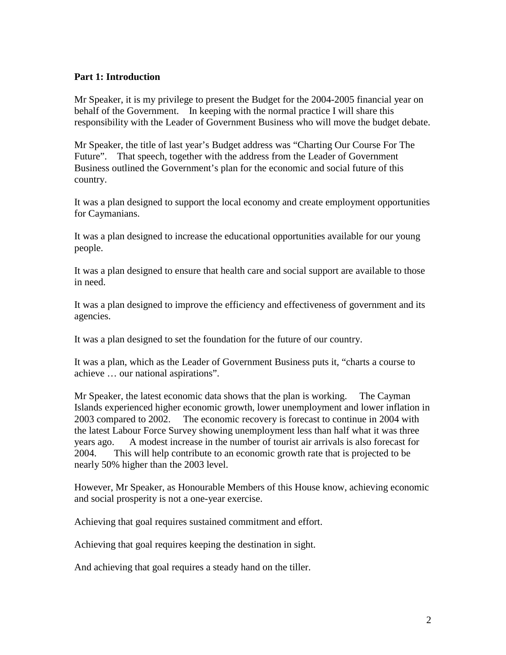#### **Part 1: Introduction**

Mr Speaker, it is my privilege to present the Budget for the 2004-2005 financial year on behalf of the Government. In keeping with the normal practice I will share this responsibility with the Leader of Government Business who will move the budget debate.

Mr Speaker, the title of last year's Budget address was "Charting Our Course For The Future". That speech, together with the address from the Leader of Government Business outlined the Government's plan for the economic and social future of this country.

It was a plan designed to support the local economy and create employment opportunities for Caymanians.

It was a plan designed to increase the educational opportunities available for our young people.

It was a plan designed to ensure that health care and social support are available to those in need.

It was a plan designed to improve the efficiency and effectiveness of government and its agencies.

It was a plan designed to set the foundation for the future of our country.

It was a plan, which as the Leader of Government Business puts it, "charts a course to achieve … our national aspirations".

Mr Speaker, the latest economic data shows that the plan is working. The Cayman Islands experienced higher economic growth, lower unemployment and lower inflation in 2003 compared to 2002. The economic recovery is forecast to continue in 2004 with the latest Labour Force Survey showing unemployment less than half what it was three years ago. A modest increase in the number of tourist air arrivals is also forecast for 2004. This will help contribute to an economic growth rate that is projected to be nearly 50% higher than the 2003 level.

However, Mr Speaker, as Honourable Members of this House know, achieving economic and social prosperity is not a one-year exercise.

Achieving that goal requires sustained commitment and effort.

Achieving that goal requires keeping the destination in sight.

And achieving that goal requires a steady hand on the tiller.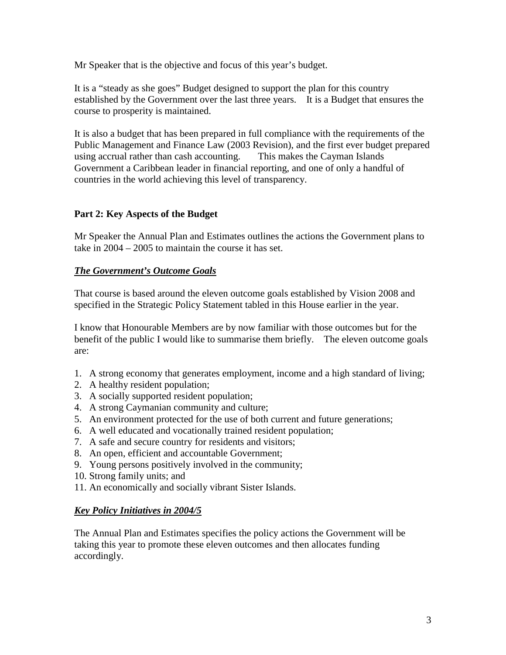Mr Speaker that is the objective and focus of this year's budget.

It is a "steady as she goes" Budget designed to support the plan for this country established by the Government over the last three years. It is a Budget that ensures the course to prosperity is maintained.

It is also a budget that has been prepared in full compliance with the requirements of the Public Management and Finance Law (2003 Revision), and the first ever budget prepared using accrual rather than cash accounting. This makes the Cayman Islands Government a Caribbean leader in financial reporting, and one of only a handful of countries in the world achieving this level of transparency.

## **Part 2: Key Aspects of the Budget**

Mr Speaker the Annual Plan and Estimates outlines the actions the Government plans to take in 2004 – 2005 to maintain the course it has set.

## *The Government's Outcome Goals*

That course is based around the eleven outcome goals established by Vision 2008 and specified in the Strategic Policy Statement tabled in this House earlier in the year.

I know that Honourable Members are by now familiar with those outcomes but for the benefit of the public I would like to summarise them briefly. The eleven outcome goals are:

- 1. A strong economy that generates employment, income and a high standard of living;
- 2. A healthy resident population;
- 3. A socially supported resident population;
- 4. A strong Caymanian community and culture;
- 5. An environment protected for the use of both current and future generations;
- 6. A well educated and vocationally trained resident population;
- 7. A safe and secure country for residents and visitors;
- 8. An open, efficient and accountable Government;
- 9. Young persons positively involved in the community;
- 10. Strong family units; and
- 11. An economically and socially vibrant Sister Islands.

# *Key Policy Initiatives in 2004/5*

The Annual Plan and Estimates specifies the policy actions the Government will be taking this year to promote these eleven outcomes and then allocates funding accordingly.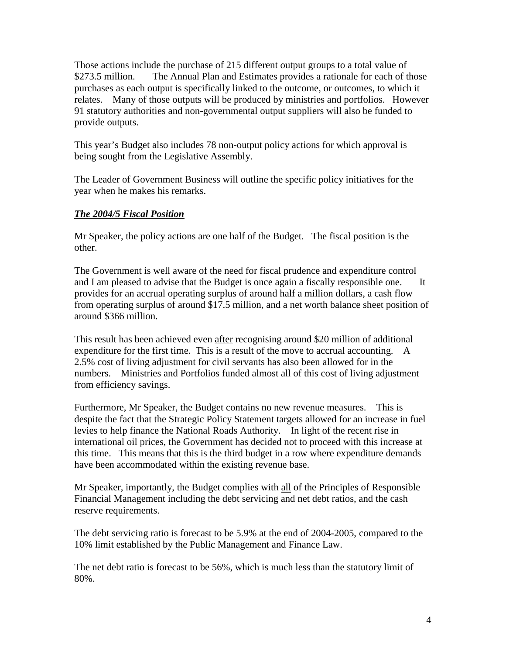Those actions include the purchase of 215 different output groups to a total value of \$273.5 million. The Annual Plan and Estimates provides a rationale for each of those purchases as each output is specifically linked to the outcome, or outcomes, to which it relates. Many of those outputs will be produced by ministries and portfolios. However 91 statutory authorities and non-governmental output suppliers will also be funded to provide outputs.

This year's Budget also includes 78 non-output policy actions for which approval is being sought from the Legislative Assembly.

The Leader of Government Business will outline the specific policy initiatives for the year when he makes his remarks.

## *The 2004/5 Fiscal Position*

Mr Speaker, the policy actions are one half of the Budget. The fiscal position is the other.

The Government is well aware of the need for fiscal prudence and expenditure control and I am pleased to advise that the Budget is once again a fiscally responsible one. It provides for an accrual operating surplus of around half a million dollars, a cash flow from operating surplus of around \$17.5 million, and a net worth balance sheet position of around \$366 million.

This result has been achieved even after recognising around \$20 million of additional expenditure for the first time. This is a result of the move to accrual accounting. A 2.5% cost of living adjustment for civil servants has also been allowed for in the numbers. Ministries and Portfolios funded almost all of this cost of living adjustment from efficiency savings.

Furthermore, Mr Speaker, the Budget contains no new revenue measures. This is despite the fact that the Strategic Policy Statement targets allowed for an increase in fuel levies to help finance the National Roads Authority. In light of the recent rise in international oil prices, the Government has decided not to proceed with this increase at this time. This means that this is the third budget in a row where expenditure demands have been accommodated within the existing revenue base.

Mr Speaker, importantly, the Budget complies with all of the Principles of Responsible Financial Management including the debt servicing and net debt ratios, and the cash reserve requirements.

The debt servicing ratio is forecast to be 5.9% at the end of 2004-2005, compared to the 10% limit established by the Public Management and Finance Law.

The net debt ratio is forecast to be 56%, which is much less than the statutory limit of 80%.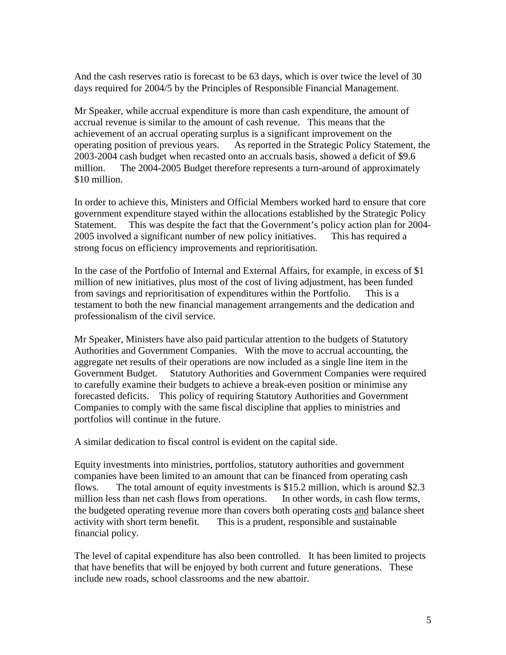And the cash reserves ratio is forecast to be 63 days, which is over twice the level of 30 days required for 2004/5 by the Principles of Responsible Financial Management.

Mr Speaker, while accrual expenditure is more than cash expenditure, the amount of accrual revenue is similar to the amount of cash revenue. This means that the achievement of an accrual operating surplus is a significant improvement on the operating position of previous years. As reported in the Strategic Policy Statement, the 2003-2004 cash budget when recasted onto an accruals basis, showed a deficit of \$9.6 million. The 2004-2005 Budget therefore represents a turn-around of approximately \$10 million.

In order to achieve this, Ministers and Official Members worked hard to ensure that core government expenditure stayed within the allocations established by the Strategic Policy Statement. This was despite the fact that the Government's policy action plan for 2004- 2005 involved a significant number of new policy initiatives. This has required a strong focus on efficiency improvements and reprioritisation.

In the case of the Portfolio of Internal and External Affairs, for example, in excess of \$1 million of new initiatives, plus most of the cost of living adjustment, has been funded from savings and reprioritisation of expenditures within the Portfolio. This is a testament to both the new financial management arrangements and the dedication and professionalism of the civil service.

Mr Speaker, Ministers have also paid particular attention to the budgets of Statutory Authorities and Government Companies. With the move to accrual accounting, the aggregate net results of their operations are now included as a single line item in the Government Budget. Statutory Authorities and Government Companies were required to carefully examine their budgets to achieve a break-even position or minimise any forecasted deficits. This policy of requiring Statutory Authorities and Government Companies to comply with the same fiscal discipline that applies to ministries and portfolios will continue in the future.

A similar dedication to fiscal control is evident on the capital side.

Equity investments into ministries, portfolios, statutory authorities and government companies have been limited to an amount that can be financed from operating cash flows. The total amount of equity investments is \$15.2 million, which is around \$2.3 million less than net cash flows from operations. In other words, in cash flow terms, the budgeted operating revenue more than covers both operating costs and balance sheet activity with short term benefit. This is a prudent, responsible and sustainable financial policy.

The level of capital expenditure has also been controlled. It has been limited to projects that have benefits that will be enjoyed by both current and future generations. These include new roads, school classrooms and the new abattoir.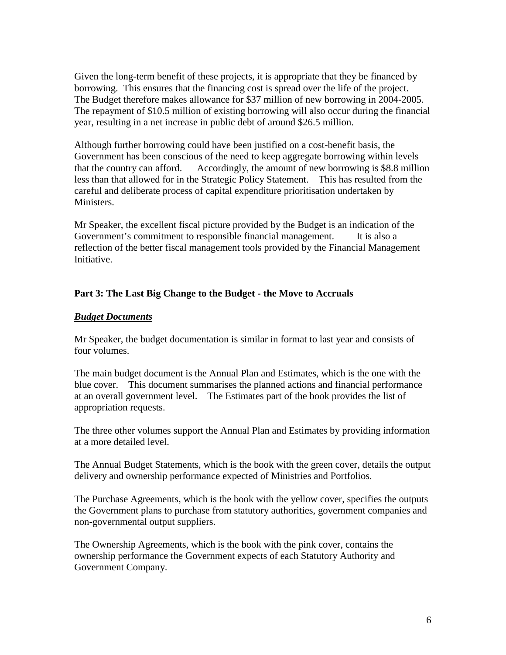Given the long-term benefit of these projects, it is appropriate that they be financed by borrowing. This ensures that the financing cost is spread over the life of the project. The Budget therefore makes allowance for \$37 million of new borrowing in 2004-2005. The repayment of \$10.5 million of existing borrowing will also occur during the financial year, resulting in a net increase in public debt of around \$26.5 million.

Although further borrowing could have been justified on a cost-benefit basis, the Government has been conscious of the need to keep aggregate borrowing within levels that the country can afford. Accordingly, the amount of new borrowing is \$8.8 million less than that allowed for in the Strategic Policy Statement. This has resulted from the careful and deliberate process of capital expenditure prioritisation undertaken by Ministers.

Mr Speaker, the excellent fiscal picture provided by the Budget is an indication of the Government's commitment to responsible financial management. It is also a reflection of the better fiscal management tools provided by the Financial Management Initiative.

#### **Part 3: The Last Big Change to the Budget - the Move to Accruals**

#### *Budget Documents*

Mr Speaker, the budget documentation is similar in format to last year and consists of four volumes.

The main budget document is the Annual Plan and Estimates, which is the one with the blue cover. This document summarises the planned actions and financial performance at an overall government level. The Estimates part of the book provides the list of appropriation requests.

The three other volumes support the Annual Plan and Estimates by providing information at a more detailed level.

The Annual Budget Statements, which is the book with the green cover, details the output delivery and ownership performance expected of Ministries and Portfolios.

The Purchase Agreements, which is the book with the yellow cover, specifies the outputs the Government plans to purchase from statutory authorities, government companies and non-governmental output suppliers.

The Ownership Agreements, which is the book with the pink cover, contains the ownership performance the Government expects of each Statutory Authority and Government Company.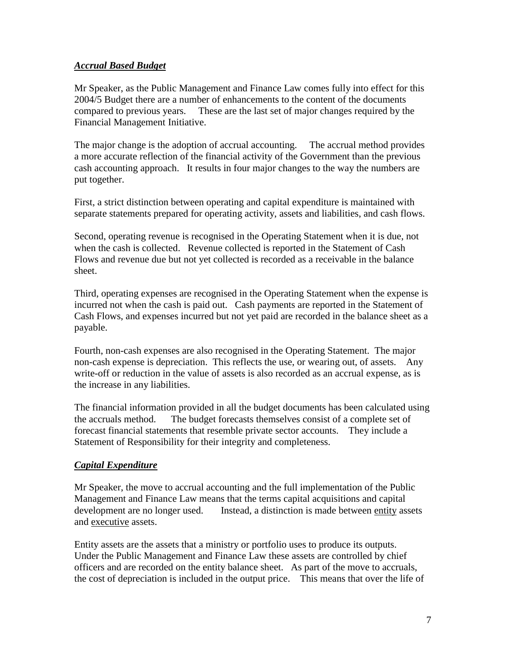## *Accrual Based Budget*

Mr Speaker, as the Public Management and Finance Law comes fully into effect for this 2004/5 Budget there are a number of enhancements to the content of the documents compared to previous years. These are the last set of major changes required by the Financial Management Initiative.

The major change is the adoption of accrual accounting. The accrual method provides a more accurate reflection of the financial activity of the Government than the previous cash accounting approach. It results in four major changes to the way the numbers are put together.

First, a strict distinction between operating and capital expenditure is maintained with separate statements prepared for operating activity, assets and liabilities, and cash flows.

Second, operating revenue is recognised in the Operating Statement when it is due, not when the cash is collected. Revenue collected is reported in the Statement of Cash Flows and revenue due but not yet collected is recorded as a receivable in the balance sheet.

Third, operating expenses are recognised in the Operating Statement when the expense is incurred not when the cash is paid out. Cash payments are reported in the Statement of Cash Flows, and expenses incurred but not yet paid are recorded in the balance sheet as a payable.

Fourth, non-cash expenses are also recognised in the Operating Statement. The major non-cash expense is depreciation. This reflects the use, or wearing out, of assets. Any write-off or reduction in the value of assets is also recorded as an accrual expense, as is the increase in any liabilities.

The financial information provided in all the budget documents has been calculated using the accruals method. The budget forecasts themselves consist of a complete set of forecast financial statements that resemble private sector accounts. They include a Statement of Responsibility for their integrity and completeness.

## *Capital Expenditure*

Mr Speaker, the move to accrual accounting and the full implementation of the Public Management and Finance Law means that the terms capital acquisitions and capital development are no longer used. Instead, a distinction is made between entity assets and executive assets.

Entity assets are the assets that a ministry or portfolio uses to produce its outputs. Under the Public Management and Finance Law these assets are controlled by chief officers and are recorded on the entity balance sheet. As part of the move to accruals, the cost of depreciation is included in the output price. This means that over the life of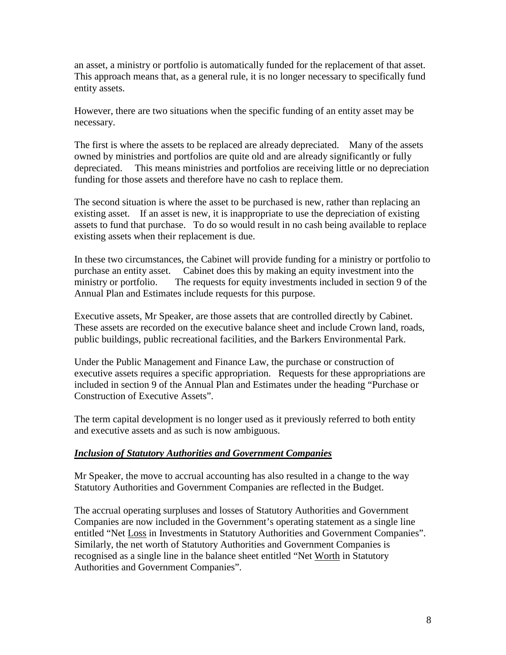an asset, a ministry or portfolio is automatically funded for the replacement of that asset. This approach means that, as a general rule, it is no longer necessary to specifically fund entity assets.

However, there are two situations when the specific funding of an entity asset may be necessary.

The first is where the assets to be replaced are already depreciated. Many of the assets owned by ministries and portfolios are quite old and are already significantly or fully depreciated. This means ministries and portfolios are receiving little or no depreciation funding for those assets and therefore have no cash to replace them.

The second situation is where the asset to be purchased is new, rather than replacing an existing asset. If an asset is new, it is inappropriate to use the depreciation of existing assets to fund that purchase. To do so would result in no cash being available to replace existing assets when their replacement is due.

In these two circumstances, the Cabinet will provide funding for a ministry or portfolio to purchase an entity asset. Cabinet does this by making an equity investment into the ministry or portfolio. The requests for equity investments included in section 9 of the Annual Plan and Estimates include requests for this purpose.

Executive assets, Mr Speaker, are those assets that are controlled directly by Cabinet. These assets are recorded on the executive balance sheet and include Crown land, roads, public buildings, public recreational facilities, and the Barkers Environmental Park.

Under the Public Management and Finance Law, the purchase or construction of executive assets requires a specific appropriation. Requests for these appropriations are included in section 9 of the Annual Plan and Estimates under the heading "Purchase or Construction of Executive Assets".

The term capital development is no longer used as it previously referred to both entity and executive assets and as such is now ambiguous.

## *Inclusion of Statutory Authorities and Government Companies*

Mr Speaker, the move to accrual accounting has also resulted in a change to the way Statutory Authorities and Government Companies are reflected in the Budget.

The accrual operating surpluses and losses of Statutory Authorities and Government Companies are now included in the Government's operating statement as a single line entitled "Net Loss in Investments in Statutory Authorities and Government Companies". Similarly, the net worth of Statutory Authorities and Government Companies is recognised as a single line in the balance sheet entitled "Net Worth in Statutory Authorities and Government Companies".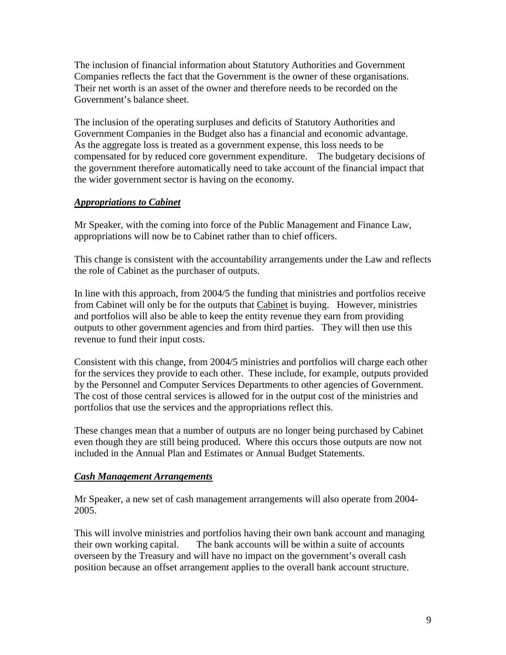The inclusion of financial information about Statutory Authorities and Government Companies reflects the fact that the Government is the owner of these organisations. Their net worth is an asset of the owner and therefore needs to be recorded on the Government's balance sheet.

The inclusion of the operating surpluses and deficits of Statutory Authorities and Government Companies in the Budget also has a financial and economic advantage. As the aggregate loss is treated as a government expense, this loss needs to be compensated for by reduced core government expenditure. The budgetary decisions of the government therefore automatically need to take account of the financial impact that the wider government sector is having on the economy.

#### *Appropriations to Cabinet*

Mr Speaker, with the coming into force of the Public Management and Finance Law, appropriations will now be to Cabinet rather than to chief officers.

This change is consistent with the accountability arrangements under the Law and reflects the role of Cabinet as the purchaser of outputs.

In line with this approach, from 2004/5 the funding that ministries and portfolios receive from Cabinet will only be for the outputs that Cabinet is buying. However, ministries and portfolios will also be able to keep the entity revenue they earn from providing outputs to other government agencies and from third parties. They will then use this revenue to fund their input costs.

Consistent with this change, from 2004/5 ministries and portfolios will charge each other for the services they provide to each other. These include, for example, outputs provided by the Personnel and Computer Services Departments to other agencies of Government. The cost of those central services is allowed for in the output cost of the ministries and portfolios that use the services and the appropriations reflect this.

These changes mean that a number of outputs are no longer being purchased by Cabinet even though they are still being produced. Where this occurs those outputs are now not included in the Annual Plan and Estimates or Annual Budget Statements.

#### *Cash Management Arrangements*

Mr Speaker, a new set of cash management arrangements will also operate from 2004- 2005.

This will involve ministries and portfolios having their own bank account and managing their own working capital. The bank accounts will be within a suite of accounts overseen by the Treasury and will have no impact on the government's overall cash position because an offset arrangement applies to the overall bank account structure.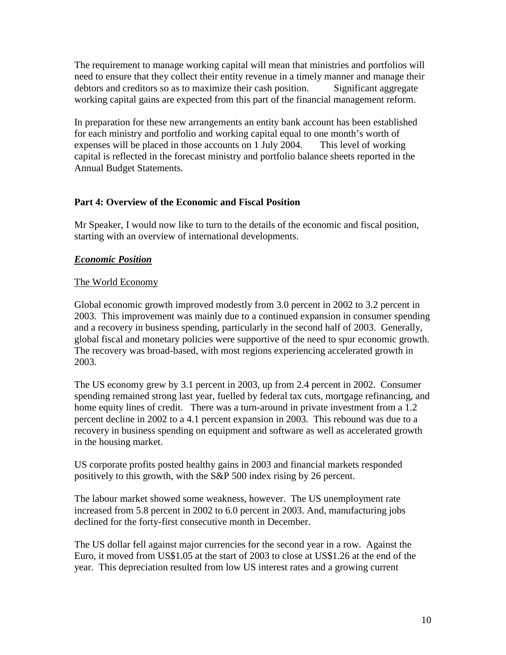The requirement to manage working capital will mean that ministries and portfolios will need to ensure that they collect their entity revenue in a timely manner and manage their debtors and creditors so as to maximize their cash position. Significant aggregate working capital gains are expected from this part of the financial management reform.

In preparation for these new arrangements an entity bank account has been established for each ministry and portfolio and working capital equal to one month's worth of expenses will be placed in those accounts on 1 July 2004. This level of working capital is reflected in the forecast ministry and portfolio balance sheets reported in the Annual Budget Statements.

## **Part 4: Overview of the Economic and Fiscal Position**

Mr Speaker, I would now like to turn to the details of the economic and fiscal position, starting with an overview of international developments.

## *Economic Position*

## The World Economy

Global economic growth improved modestly from 3.0 percent in 2002 to 3.2 percent in 2003. This improvement was mainly due to a continued expansion in consumer spending and a recovery in business spending, particularly in the second half of 2003. Generally, global fiscal and monetary policies were supportive of the need to spur economic growth. The recovery was broad-based, with most regions experiencing accelerated growth in 2003.

The US economy grew by 3.1 percent in 2003, up from 2.4 percent in 2002. Consumer spending remained strong last year, fuelled by federal tax cuts, mortgage refinancing, and home equity lines of credit. There was a turn-around in private investment from a 1.2 percent decline in 2002 to a 4.1 percent expansion in 2003. This rebound was due to a recovery in business spending on equipment and software as well as accelerated growth in the housing market.

US corporate profits posted healthy gains in 2003 and financial markets responded positively to this growth, with the S&P 500 index rising by 26 percent.

The labour market showed some weakness, however. The US unemployment rate increased from 5.8 percent in 2002 to 6.0 percent in 2003. And, manufacturing jobs declined for the forty-first consecutive month in December.

The US dollar fell against major currencies for the second year in a row. Against the Euro, it moved from US\$1.05 at the start of 2003 to close at US\$1.26 at the end of the year. This depreciation resulted from low US interest rates and a growing current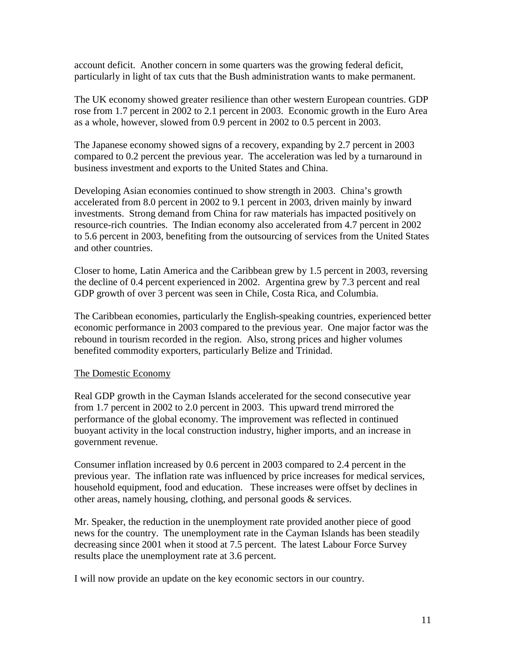account deficit. Another concern in some quarters was the growing federal deficit, particularly in light of tax cuts that the Bush administration wants to make permanent.

The UK economy showed greater resilience than other western European countries. GDP rose from 1.7 percent in 2002 to 2.1 percent in 2003. Economic growth in the Euro Area as a whole, however, slowed from 0.9 percent in 2002 to 0.5 percent in 2003.

The Japanese economy showed signs of a recovery, expanding by 2.7 percent in 2003 compared to 0.2 percent the previous year. The acceleration was led by a turnaround in business investment and exports to the United States and China.

Developing Asian economies continued to show strength in 2003. China's growth accelerated from 8.0 percent in 2002 to 9.1 percent in 2003, driven mainly by inward investments. Strong demand from China for raw materials has impacted positively on resource-rich countries. The Indian economy also accelerated from 4.7 percent in 2002 to 5.6 percent in 2003, benefiting from the outsourcing of services from the United States and other countries.

Closer to home, Latin America and the Caribbean grew by 1.5 percent in 2003, reversing the decline of 0.4 percent experienced in 2002. Argentina grew by 7.3 percent and real GDP growth of over 3 percent was seen in Chile, Costa Rica, and Columbia.

The Caribbean economies, particularly the English-speaking countries, experienced better economic performance in 2003 compared to the previous year. One major factor was the rebound in tourism recorded in the region. Also, strong prices and higher volumes benefited commodity exporters, particularly Belize and Trinidad.

#### The Domestic Economy

Real GDP growth in the Cayman Islands accelerated for the second consecutive year from 1.7 percent in 2002 to 2.0 percent in 2003. This upward trend mirrored the performance of the global economy. The improvement was reflected in continued buoyant activity in the local construction industry, higher imports, and an increase in government revenue.

Consumer inflation increased by 0.6 percent in 2003 compared to 2.4 percent in the previous year. The inflation rate was influenced by price increases for medical services, household equipment, food and education. These increases were offset by declines in other areas, namely housing, clothing, and personal goods & services.

Mr. Speaker, the reduction in the unemployment rate provided another piece of good news for the country. The unemployment rate in the Cayman Islands has been steadily decreasing since 2001 when it stood at 7.5 percent. The latest Labour Force Survey results place the unemployment rate at 3.6 percent.

I will now provide an update on the key economic sectors in our country.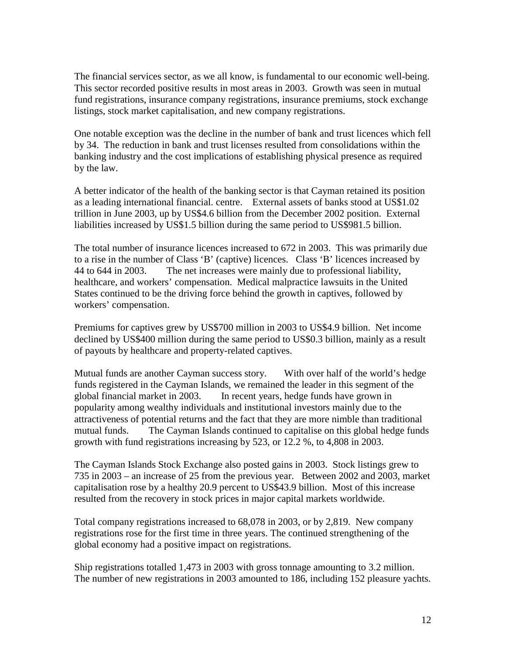The financial services sector, as we all know, is fundamental to our economic well-being. This sector recorded positive results in most areas in 2003. Growth was seen in mutual fund registrations, insurance company registrations, insurance premiums, stock exchange listings, stock market capitalisation, and new company registrations.

One notable exception was the decline in the number of bank and trust licences which fell by 34. The reduction in bank and trust licenses resulted from consolidations within the banking industry and the cost implications of establishing physical presence as required by the law.

A better indicator of the health of the banking sector is that Cayman retained its position as a leading international financial. centre. External assets of banks stood at US\$1.02 trillion in June 2003, up by US\$4.6 billion from the December 2002 position. External liabilities increased by US\$1.5 billion during the same period to US\$981.5 billion.

The total number of insurance licences increased to 672 in 2003. This was primarily due to a rise in the number of Class 'B' (captive) licences. Class 'B' licences increased by 44 to 644 in 2003. The net increases were mainly due to professional liability, healthcare, and workers' compensation. Medical malpractice lawsuits in the United States continued to be the driving force behind the growth in captives, followed by workers' compensation.

Premiums for captives grew by US\$700 million in 2003 to US\$4.9 billion. Net income declined by US\$400 million during the same period to US\$0.3 billion, mainly as a result of payouts by healthcare and property-related captives.

Mutual funds are another Cayman success story. With over half of the world's hedge funds registered in the Cayman Islands, we remained the leader in this segment of the global financial market in 2003. In recent years, hedge funds have grown in popularity among wealthy individuals and institutional investors mainly due to the attractiveness of potential returns and the fact that they are more nimble than traditional mutual funds. The Cayman Islands continued to capitalise on this global hedge funds growth with fund registrations increasing by 523, or 12.2 %, to 4,808 in 2003.

The Cayman Islands Stock Exchange also posted gains in 2003. Stock listings grew to 735 in 2003 – an increase of 25 from the previous year. Between 2002 and 2003, market capitalisation rose by a healthy 20.9 percent to US\$43.9 billion. Most of this increase resulted from the recovery in stock prices in major capital markets worldwide.

Total company registrations increased to 68,078 in 2003, or by 2,819. New company registrations rose for the first time in three years. The continued strengthening of the global economy had a positive impact on registrations.

Ship registrations totalled 1,473 in 2003 with gross tonnage amounting to 3.2 million. The number of new registrations in 2003 amounted to 186, including 152 pleasure yachts.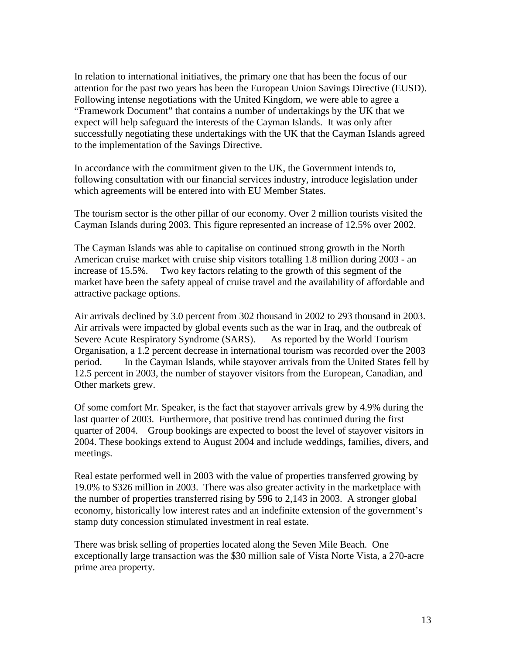In relation to international initiatives, the primary one that has been the focus of our attention for the past two years has been the European Union Savings Directive (EUSD). Following intense negotiations with the United Kingdom, we were able to agree a "Framework Document" that contains a number of undertakings by the UK that we expect will help safeguard the interests of the Cayman Islands. It was only after successfully negotiating these undertakings with the UK that the Cayman Islands agreed to the implementation of the Savings Directive.

In accordance with the commitment given to the UK, the Government intends to, following consultation with our financial services industry, introduce legislation under which agreements will be entered into with EU Member States.

The tourism sector is the other pillar of our economy. Over 2 million tourists visited the Cayman Islands during 2003. This figure represented an increase of 12.5% over 2002.

The Cayman Islands was able to capitalise on continued strong growth in the North American cruise market with cruise ship visitors totalling 1.8 million during 2003 - an increase of 15.5%. Two key factors relating to the growth of this segment of the market have been the safety appeal of cruise travel and the availability of affordable and attractive package options.

Air arrivals declined by 3.0 percent from 302 thousand in 2002 to 293 thousand in 2003. Air arrivals were impacted by global events such as the war in Iraq, and the outbreak of Severe Acute Respiratory Syndrome (SARS). As reported by the World Tourism Organisation, a 1.2 percent decrease in international tourism was recorded over the 2003 period. In the Cayman Islands, while stayover arrivals from the United States fell by 12.5 percent in 2003, the number of stayover visitors from the European, Canadian, and Other markets grew.

Of some comfort Mr. Speaker, is the fact that stayover arrivals grew by 4.9% during the last quarter of 2003. Furthermore, that positive trend has continued during the first quarter of 2004. Group bookings are expected to boost the level of stayover visitors in 2004. These bookings extend to August 2004 and include weddings, families, divers, and meetings.

Real estate performed well in 2003 with the value of properties transferred growing by 19.0% to \$326 million in 2003. There was also greater activity in the marketplace with the number of properties transferred rising by 596 to 2,143 in 2003. A stronger global economy, historically low interest rates and an indefinite extension of the government's stamp duty concession stimulated investment in real estate.

There was brisk selling of properties located along the Seven Mile Beach. One exceptionally large transaction was the \$30 million sale of Vista Norte Vista, a 270-acre prime area property.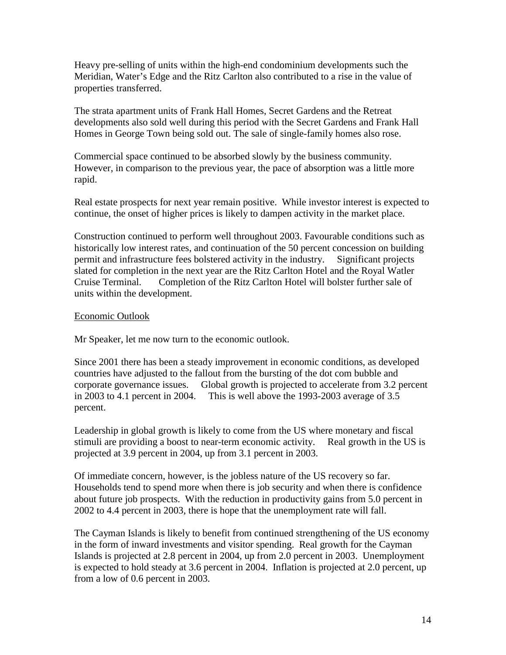Heavy pre-selling of units within the high-end condominium developments such the Meridian, Water's Edge and the Ritz Carlton also contributed to a rise in the value of properties transferred.

The strata apartment units of Frank Hall Homes, Secret Gardens and the Retreat developments also sold well during this period with the Secret Gardens and Frank Hall Homes in George Town being sold out. The sale of single-family homes also rose.

Commercial space continued to be absorbed slowly by the business community. However, in comparison to the previous year, the pace of absorption was a little more rapid.

Real estate prospects for next year remain positive. While investor interest is expected to continue, the onset of higher prices is likely to dampen activity in the market place.

Construction continued to perform well throughout 2003. Favourable conditions such as historically low interest rates, and continuation of the 50 percent concession on building permit and infrastructure fees bolstered activity in the industry. Significant projects slated for completion in the next year are the Ritz Carlton Hotel and the Royal Watler Cruise Terminal. Completion of the Ritz Carlton Hotel will bolster further sale of units within the development.

#### Economic Outlook

Mr Speaker, let me now turn to the economic outlook.

Since 2001 there has been a steady improvement in economic conditions, as developed countries have adjusted to the fallout from the bursting of the dot com bubble and corporate governance issues. Global growth is projected to accelerate from 3.2 percent in 2003 to 4.1 percent in 2004. This is well above the 1993-2003 average of 3.5 percent.

Leadership in global growth is likely to come from the US where monetary and fiscal stimuli are providing a boost to near-term economic activity. Real growth in the US is projected at 3.9 percent in 2004, up from 3.1 percent in 2003.

Of immediate concern, however, is the jobless nature of the US recovery so far. Households tend to spend more when there is job security and when there is confidence about future job prospects. With the reduction in productivity gains from 5.0 percent in 2002 to 4.4 percent in 2003, there is hope that the unemployment rate will fall.

The Cayman Islands is likely to benefit from continued strengthening of the US economy in the form of inward investments and visitor spending. Real growth for the Cayman Islands is projected at 2.8 percent in 2004, up from 2.0 percent in 2003. Unemployment is expected to hold steady at 3.6 percent in 2004. Inflation is projected at 2.0 percent, up from a low of 0.6 percent in 2003.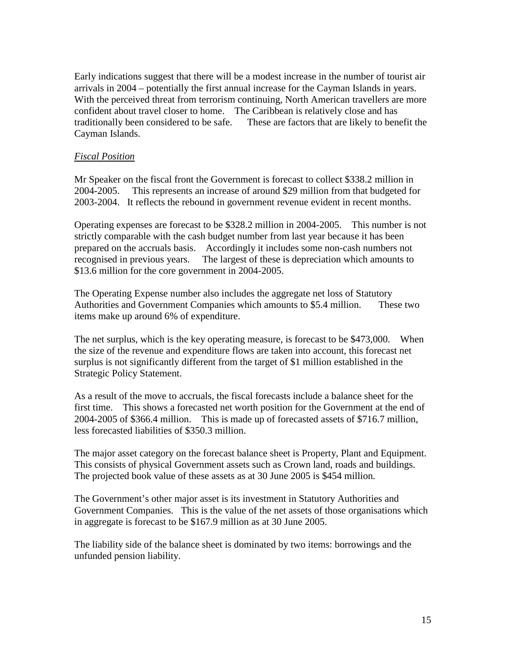Early indications suggest that there will be a modest increase in the number of tourist air arrivals in 2004 – potentially the first annual increase for the Cayman Islands in years. With the perceived threat from terrorism continuing, North American travellers are more confident about travel closer to home. The Caribbean is relatively close and has traditionally been considered to be safe. These are factors that are likely to benefit the Cayman Islands.

#### *Fiscal Position*

Mr Speaker on the fiscal front the Government is forecast to collect \$338.2 million in 2004-2005. This represents an increase of around \$29 million from that budgeted for 2003-2004. It reflects the rebound in government revenue evident in recent months.

Operating expenses are forecast to be \$328.2 million in 2004-2005. This number is not strictly comparable with the cash budget number from last year because it has been prepared on the accruals basis. Accordingly it includes some non-cash numbers not recognised in previous years. The largest of these is depreciation which amounts to \$13.6 million for the core government in 2004-2005.

The Operating Expense number also includes the aggregate net loss of Statutory Authorities and Government Companies which amounts to \$5.4 million. These two items make up around 6% of expenditure.

The net surplus, which is the key operating measure, is forecast to be \$473,000. When the size of the revenue and expenditure flows are taken into account, this forecast net surplus is not significantly different from the target of \$1 million established in the Strategic Policy Statement.

As a result of the move to accruals, the fiscal forecasts include a balance sheet for the first time. This shows a forecasted net worth position for the Government at the end of 2004-2005 of \$366.4 million. This is made up of forecasted assets of \$716.7 million, less forecasted liabilities of \$350.3 million.

The major asset category on the forecast balance sheet is Property, Plant and Equipment. This consists of physical Government assets such as Crown land, roads and buildings. The projected book value of these assets as at 30 June 2005 is \$454 million.

The Government's other major asset is its investment in Statutory Authorities and Government Companies. This is the value of the net assets of those organisations which in aggregate is forecast to be \$167.9 million as at 30 June 2005.

The liability side of the balance sheet is dominated by two items: borrowings and the unfunded pension liability.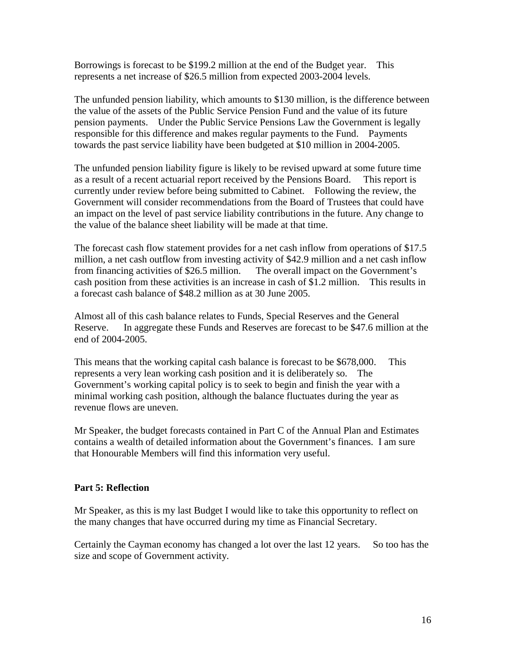Borrowings is forecast to be \$199.2 million at the end of the Budget year. This represents a net increase of \$26.5 million from expected 2003-2004 levels.

The unfunded pension liability, which amounts to \$130 million, is the difference between the value of the assets of the Public Service Pension Fund and the value of its future pension payments. Under the Public Service Pensions Law the Government is legally responsible for this difference and makes regular payments to the Fund. Payments towards the past service liability have been budgeted at \$10 million in 2004-2005.

The unfunded pension liability figure is likely to be revised upward at some future time as a result of a recent actuarial report received by the Pensions Board. This report is currently under review before being submitted to Cabinet. Following the review, the Government will consider recommendations from the Board of Trustees that could have an impact on the level of past service liability contributions in the future. Any change to the value of the balance sheet liability will be made at that time.

The forecast cash flow statement provides for a net cash inflow from operations of \$17.5 million, a net cash outflow from investing activity of \$42.9 million and a net cash inflow from financing activities of \$26.5 million. The overall impact on the Government's cash position from these activities is an increase in cash of \$1.2 million. This results in a forecast cash balance of \$48.2 million as at 30 June 2005.

Almost all of this cash balance relates to Funds, Special Reserves and the General Reserve. In aggregate these Funds and Reserves are forecast to be \$47.6 million at the end of 2004-2005.

This means that the working capital cash balance is forecast to be \$678,000. This represents a very lean working cash position and it is deliberately so. The Government's working capital policy is to seek to begin and finish the year with a minimal working cash position, although the balance fluctuates during the year as revenue flows are uneven.

Mr Speaker, the budget forecasts contained in Part C of the Annual Plan and Estimates contains a wealth of detailed information about the Government's finances. I am sure that Honourable Members will find this information very useful.

## **Part 5: Reflection**

Mr Speaker, as this is my last Budget I would like to take this opportunity to reflect on the many changes that have occurred during my time as Financial Secretary.

Certainly the Cayman economy has changed a lot over the last 12 years. So too has the size and scope of Government activity.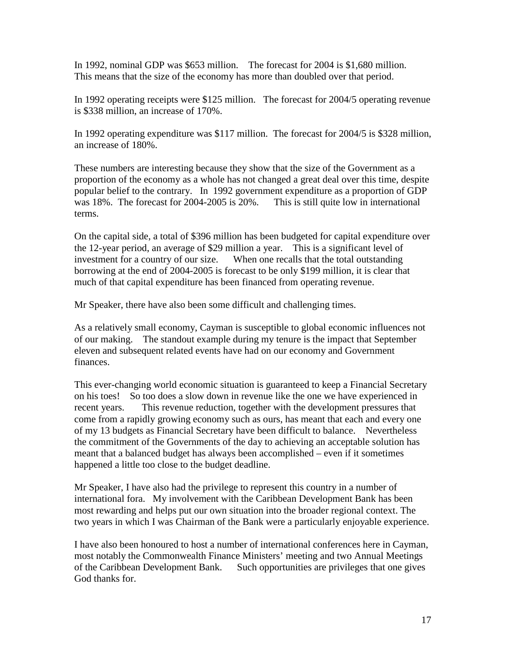In 1992, nominal GDP was \$653 million. The forecast for 2004 is \$1,680 million. This means that the size of the economy has more than doubled over that period.

In 1992 operating receipts were \$125 million. The forecast for 2004/5 operating revenue is \$338 million, an increase of 170%.

In 1992 operating expenditure was \$117 million. The forecast for 2004/5 is \$328 million, an increase of 180%.

These numbers are interesting because they show that the size of the Government as a proportion of the economy as a whole has not changed a great deal over this time, despite popular belief to the contrary. In 1992 government expenditure as a proportion of GDP was 18%. The forecast for 2004-2005 is 20%. This is still quite low in international terms.

On the capital side, a total of \$396 million has been budgeted for capital expenditure over the 12-year period, an average of \$29 million a year. This is a significant level of investment for a country of our size. When one recalls that the total outstanding borrowing at the end of 2004-2005 is forecast to be only \$199 million, it is clear that much of that capital expenditure has been financed from operating revenue.

Mr Speaker, there have also been some difficult and challenging times.

As a relatively small economy, Cayman is susceptible to global economic influences not of our making. The standout example during my tenure is the impact that September eleven and subsequent related events have had on our economy and Government finances.

This ever-changing world economic situation is guaranteed to keep a Financial Secretary on his toes! So too does a slow down in revenue like the one we have experienced in recent years. This revenue reduction, together with the development pressures that come from a rapidly growing economy such as ours, has meant that each and every one of my 13 budgets as Financial Secretary have been difficult to balance. Nevertheless the commitment of the Governments of the day to achieving an acceptable solution has meant that a balanced budget has always been accomplished – even if it sometimes happened a little too close to the budget deadline.

Mr Speaker, I have also had the privilege to represent this country in a number of international fora. My involvement with the Caribbean Development Bank has been most rewarding and helps put our own situation into the broader regional context. The two years in which I was Chairman of the Bank were a particularly enjoyable experience.

I have also been honoured to host a number of international conferences here in Cayman, most notably the Commonwealth Finance Ministers' meeting and two Annual Meetings of the Caribbean Development Bank. Such opportunities are privileges that one gives God thanks for.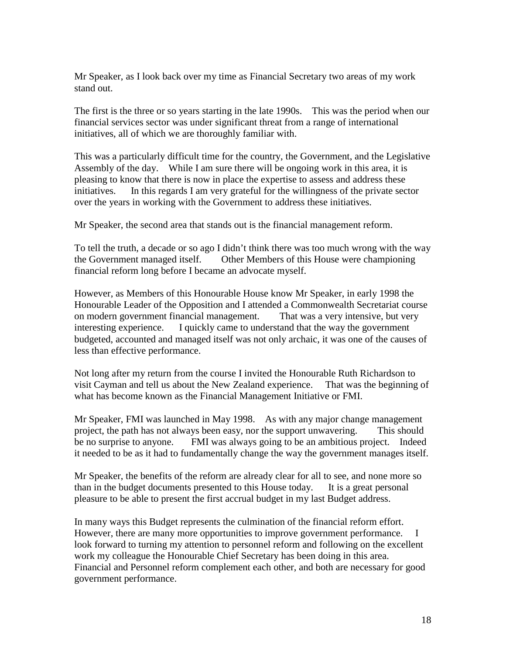Mr Speaker, as I look back over my time as Financial Secretary two areas of my work stand out.

The first is the three or so years starting in the late 1990s. This was the period when our financial services sector was under significant threat from a range of international initiatives, all of which we are thoroughly familiar with.

This was a particularly difficult time for the country, the Government, and the Legislative Assembly of the day. While I am sure there will be ongoing work in this area, it is pleasing to know that there is now in place the expertise to assess and address these initiatives. In this regards I am very grateful for the willingness of the private sector over the years in working with the Government to address these initiatives.

Mr Speaker, the second area that stands out is the financial management reform.

To tell the truth, a decade or so ago I didn't think there was too much wrong with the way the Government managed itself. Other Members of this House were championing financial reform long before I became an advocate myself.

However, as Members of this Honourable House know Mr Speaker, in early 1998 the Honourable Leader of the Opposition and I attended a Commonwealth Secretariat course on modern government financial management. That was a very intensive, but very interesting experience. I quickly came to understand that the way the government budgeted, accounted and managed itself was not only archaic, it was one of the causes of less than effective performance.

Not long after my return from the course I invited the Honourable Ruth Richardson to visit Cayman and tell us about the New Zealand experience. That was the beginning of what has become known as the Financial Management Initiative or FMI.

Mr Speaker, FMI was launched in May 1998. As with any major change management project, the path has not always been easy, nor the support unwavering. This should be no surprise to anyone. FMI was always going to be an ambitious project. Indeed it needed to be as it had to fundamentally change the way the government manages itself.

Mr Speaker, the benefits of the reform are already clear for all to see, and none more so than in the budget documents presented to this House today. It is a great personal pleasure to be able to present the first accrual budget in my last Budget address.

In many ways this Budget represents the culmination of the financial reform effort. However, there are many more opportunities to improve government performance. I look forward to turning my attention to personnel reform and following on the excellent work my colleague the Honourable Chief Secretary has been doing in this area. Financial and Personnel reform complement each other, and both are necessary for good government performance.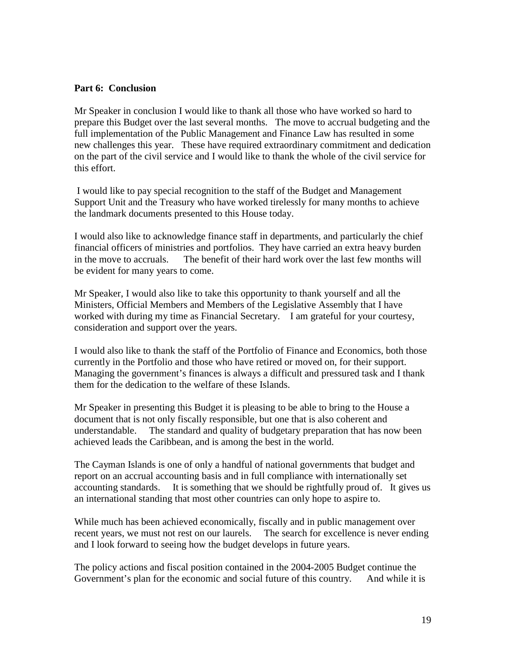#### **Part 6: Conclusion**

Mr Speaker in conclusion I would like to thank all those who have worked so hard to prepare this Budget over the last several months. The move to accrual budgeting and the full implementation of the Public Management and Finance Law has resulted in some new challenges this year. These have required extraordinary commitment and dedication on the part of the civil service and I would like to thank the whole of the civil service for this effort.

 I would like to pay special recognition to the staff of the Budget and Management Support Unit and the Treasury who have worked tirelessly for many months to achieve the landmark documents presented to this House today.

I would also like to acknowledge finance staff in departments, and particularly the chief financial officers of ministries and portfolios. They have carried an extra heavy burden in the move to accruals. The benefit of their hard work over the last few months will be evident for many years to come.

Mr Speaker, I would also like to take this opportunity to thank yourself and all the Ministers, Official Members and Members of the Legislative Assembly that I have worked with during my time as Financial Secretary. I am grateful for your courtesy, consideration and support over the years.

I would also like to thank the staff of the Portfolio of Finance and Economics, both those currently in the Portfolio and those who have retired or moved on, for their support. Managing the government's finances is always a difficult and pressured task and I thank them for the dedication to the welfare of these Islands.

Mr Speaker in presenting this Budget it is pleasing to be able to bring to the House a document that is not only fiscally responsible, but one that is also coherent and understandable. The standard and quality of budgetary preparation that has now been achieved leads the Caribbean, and is among the best in the world.

The Cayman Islands is one of only a handful of national governments that budget and report on an accrual accounting basis and in full compliance with internationally set accounting standards. It is something that we should be rightfully proud of. It gives us an international standing that most other countries can only hope to aspire to.

While much has been achieved economically, fiscally and in public management over recent years, we must not rest on our laurels. The search for excellence is never ending and I look forward to seeing how the budget develops in future years.

The policy actions and fiscal position contained in the 2004-2005 Budget continue the Government's plan for the economic and social future of this country. And while it is